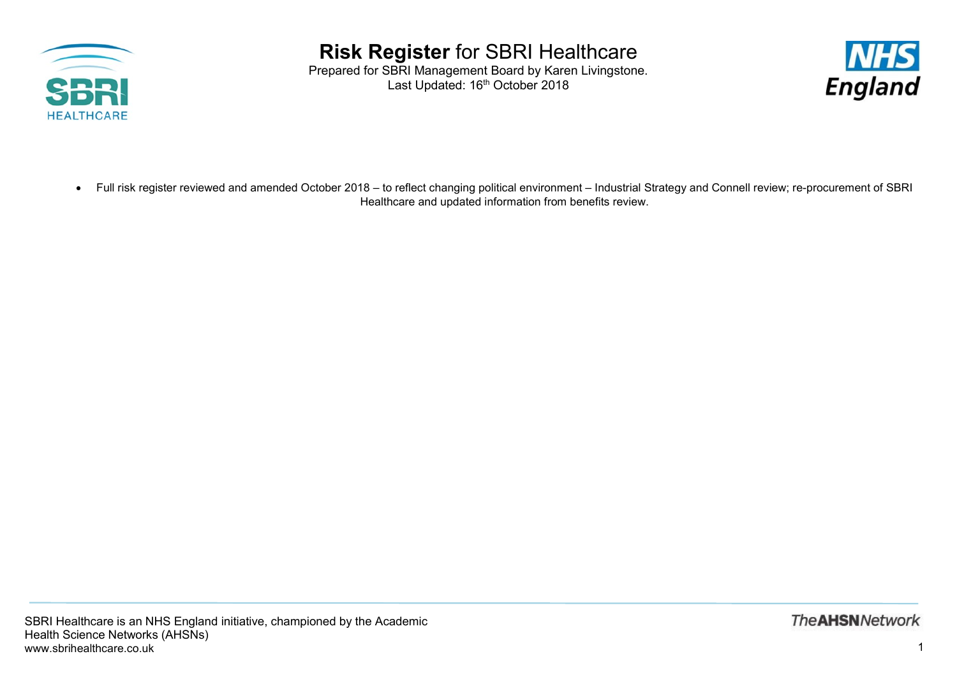

Prepared for SBRI Management Board by Karen Livingstone. Last Updated: 16<sup>th</sup> October 2018



• Full risk register reviewed and amended October 2018 – to reflect changing political environment – Industrial Strategy and Connell review; re-procurement of SBRI Healthcare and updated information from benefits review.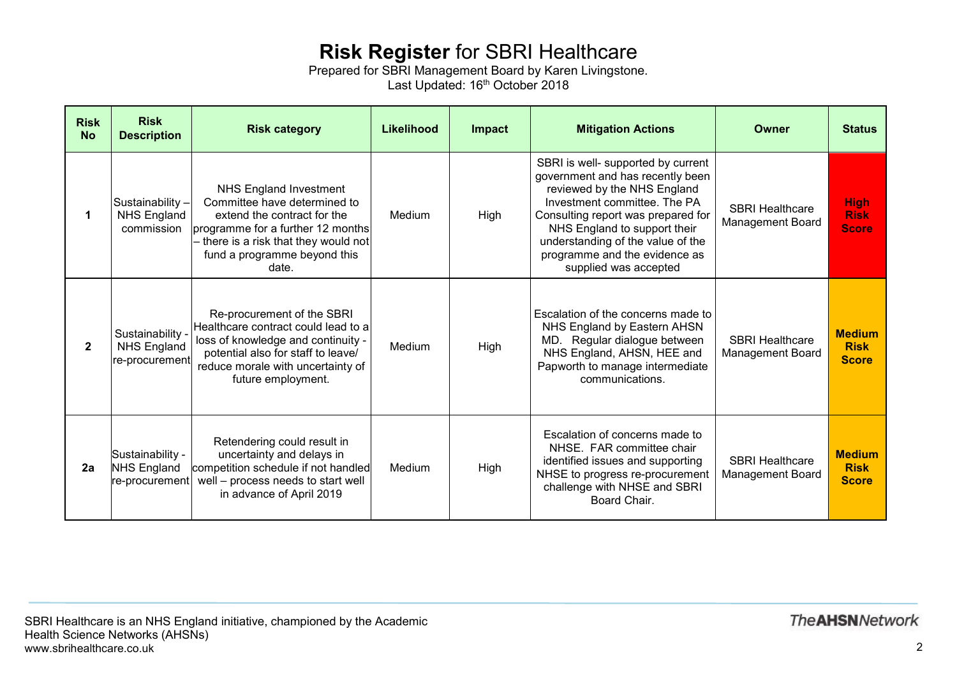Prepared for SBRI Management Board by Karen Livingstone. Last Updated: 16<sup>th</sup> October 2018

| <b>Risk</b><br><b>No</b> | <b>Risk</b><br><b>Description</b>                        | <b>Risk category</b>                                                                                                                                                                                                | Likelihood | Impact | <b>Mitigation Actions</b>                                                                                                                                                                                                                                                                                  | <b>Owner</b>                                      | <b>Status</b>                                |
|--------------------------|----------------------------------------------------------|---------------------------------------------------------------------------------------------------------------------------------------------------------------------------------------------------------------------|------------|--------|------------------------------------------------------------------------------------------------------------------------------------------------------------------------------------------------------------------------------------------------------------------------------------------------------------|---------------------------------------------------|----------------------------------------------|
| 1                        | Sustainability-<br><b>NHS England</b><br>commission      | <b>NHS England Investment</b><br>Committee have determined to<br>extend the contract for the<br>programme for a further 12 months<br>- there is a risk that they would not<br>fund a programme beyond this<br>date. | Medium     | High   | SBRI is well- supported by current<br>government and has recently been<br>reviewed by the NHS England<br>Investment committee. The PA<br>Consulting report was prepared for<br>NHS England to support their<br>understanding of the value of the<br>programme and the evidence as<br>supplied was accepted | <b>SBRI Healthcare</b><br>Management Board        | <b>High</b><br><b>Risk</b><br><b>Score</b>   |
| $\mathbf{2}$             | Sustainability<br><b>NHS England</b><br>re-procurement   | Re-procurement of the SBRI<br>Healthcare contract could lead to a<br>loss of knowledge and continuity -<br>potential also for staff to leave/<br>reduce morale with uncertainty of<br>future employment.            | Medium     | High   | Escalation of the concerns made to<br>NHS England by Eastern AHSN<br>MD. Regular dialogue between<br>NHS England, AHSN, HEE and<br>Papworth to manage intermediate<br>communications.                                                                                                                      | <b>SBRI Healthcare</b><br><b>Management Board</b> | <b>Medium</b><br><b>Risk</b><br><b>Score</b> |
| 2a                       | Sustainability -<br><b>NHS England</b><br>re-procurement | Retendering could result in<br>uncertainty and delays in<br>competition schedule if not handled<br>well - process needs to start well<br>in advance of April 2019                                                   | Medium     | High   | Escalation of concerns made to<br>NHSE. FAR committee chair<br>identified issues and supporting<br>NHSE to progress re-procurement<br>challenge with NHSE and SBRI<br>Board Chair.                                                                                                                         | <b>SBRI Healthcare</b><br><b>Management Board</b> | <b>Medium</b><br><b>Risk</b><br><b>Score</b> |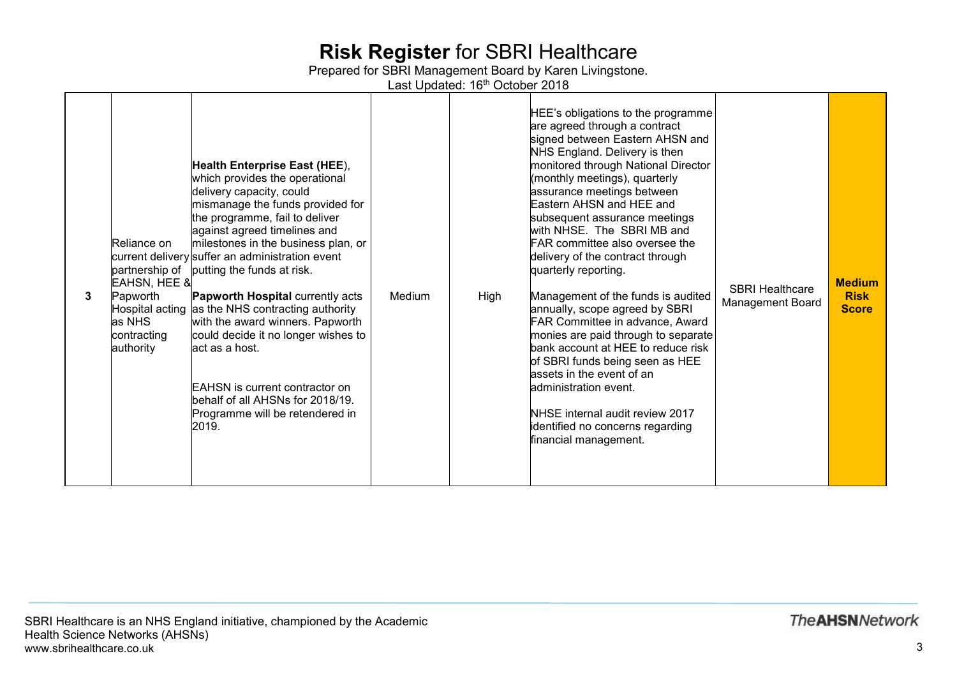Prepared for SBRI Management Board by Karen Livingstone.

Last Updated: 16th October 2018

| 3 | Reliance on<br>EAHSN, HEE &<br>Papworth<br>as NHS<br>contracting<br>authority | Health Enterprise East (HEE),<br>which provides the operational<br>delivery capacity, could<br>mismanage the funds provided for<br>the programme, fail to deliver<br>against agreed timelines and<br>milestones in the business plan, or<br>current delivery suffer an administration event<br>partnership of putting the funds at risk.<br><b>Papworth Hospital currently acts</b><br>Hospital acting as the NHS contracting authority<br>with the award winners. Papworth<br>could decide it no longer wishes to<br>act as a host.<br><b>EAHSN</b> is current contractor on<br>behalf of all AHSNs for 2018/19.<br>Programme will be retendered in<br>2019. | Medium | High | HEE's obligations to the programme<br>are agreed through a contract<br>signed between Eastern AHSN and<br>NHS England. Delivery is then<br>monitored through National Director<br>(monthly meetings), quarterly<br>assurance meetings between<br>Eastern AHSN and HEE and<br>subsequent assurance meetings<br>with NHSE. The SBRI MB and<br><b>FAR</b> committee also oversee the<br>delivery of the contract through<br>quarterly reporting.<br>Management of the funds is audited<br>annually, scope agreed by SBRI<br>FAR Committee in advance, Award<br>monies are paid through to separate<br>bank account at HEE to reduce risk<br>of SBRI funds being seen as HEE<br>assets in the event of an<br>administration event.<br><b>INHSE</b> internal audit review 2017<br>identified no concerns regarding<br>financial management. | <b>SBRI Healthcare</b><br>Management Board | <b>Medium</b><br><b>Risk</b><br><b>Score</b> |
|---|-------------------------------------------------------------------------------|---------------------------------------------------------------------------------------------------------------------------------------------------------------------------------------------------------------------------------------------------------------------------------------------------------------------------------------------------------------------------------------------------------------------------------------------------------------------------------------------------------------------------------------------------------------------------------------------------------------------------------------------------------------|--------|------|----------------------------------------------------------------------------------------------------------------------------------------------------------------------------------------------------------------------------------------------------------------------------------------------------------------------------------------------------------------------------------------------------------------------------------------------------------------------------------------------------------------------------------------------------------------------------------------------------------------------------------------------------------------------------------------------------------------------------------------------------------------------------------------------------------------------------------------|--------------------------------------------|----------------------------------------------|
|---|-------------------------------------------------------------------------------|---------------------------------------------------------------------------------------------------------------------------------------------------------------------------------------------------------------------------------------------------------------------------------------------------------------------------------------------------------------------------------------------------------------------------------------------------------------------------------------------------------------------------------------------------------------------------------------------------------------------------------------------------------------|--------|------|----------------------------------------------------------------------------------------------------------------------------------------------------------------------------------------------------------------------------------------------------------------------------------------------------------------------------------------------------------------------------------------------------------------------------------------------------------------------------------------------------------------------------------------------------------------------------------------------------------------------------------------------------------------------------------------------------------------------------------------------------------------------------------------------------------------------------------------|--------------------------------------------|----------------------------------------------|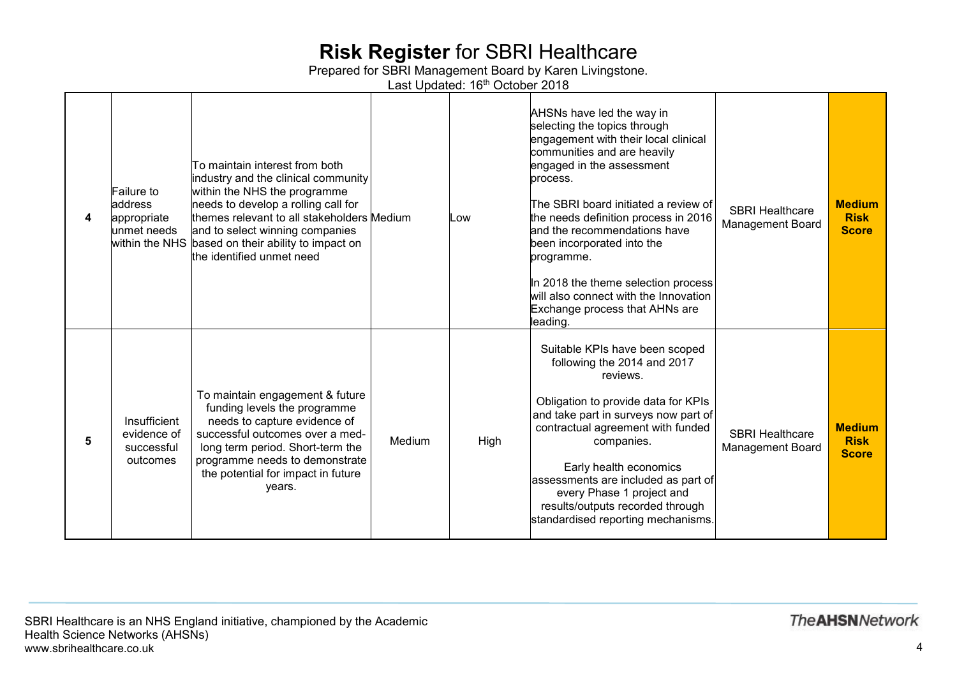Prepared for SBRI Management Board by Karen Livingstone.

Last Updated: 16th October 2018

| <b>Failure to</b><br>address<br>appropriate<br>unmet needs | To maintain interest from both<br>industry and the clinical community<br>within the NHS the programme<br>needs to develop a rolling call for<br>themes relevant to all stakeholders Medium<br>and to select winning companies<br>within the NHS based on their ability to impact on<br>the identified unmet need |        | Low  | AHSNs have led the way in<br>selecting the topics through<br>engagement with their local clinical<br>communities and are heavily<br>engaged in the assessment<br>process.<br>The SBRI board initiated a review of<br>the needs definition process in 2016<br>and the recommendations have<br>been incorporated into the<br>programme.<br>In 2018 the theme selection process<br>will also connect with the Innovation<br>Exchange process that AHNs are<br>leading. | <b>SBRI Healthcare</b><br>Management Board        | <b>Medium</b><br><b>Risk</b><br><b>Score</b> |
|------------------------------------------------------------|------------------------------------------------------------------------------------------------------------------------------------------------------------------------------------------------------------------------------------------------------------------------------------------------------------------|--------|------|---------------------------------------------------------------------------------------------------------------------------------------------------------------------------------------------------------------------------------------------------------------------------------------------------------------------------------------------------------------------------------------------------------------------------------------------------------------------|---------------------------------------------------|----------------------------------------------|
| Insufficient<br>evidence of<br>successful<br>outcomes      | To maintain engagement & future<br>funding levels the programme<br>needs to capture evidence of<br>successful outcomes over a med-<br>long term period. Short-term the<br>programme needs to demonstrate<br>the potential for impact in future<br>years.                                                         | Medium | High | Suitable KPIs have been scoped<br>following the 2014 and 2017<br>reviews.<br>Obligation to provide data for KPIs<br>and take part in surveys now part of<br>contractual agreement with funded<br>companies.<br>Early health economics<br>assessments are included as part of<br>every Phase 1 project and<br>results/outputs recorded through<br>standardised reporting mechanisms.                                                                                 | <b>SBRI Healthcare</b><br><b>Management Board</b> | <b>Medium</b><br><b>Risk</b><br><b>Score</b> |